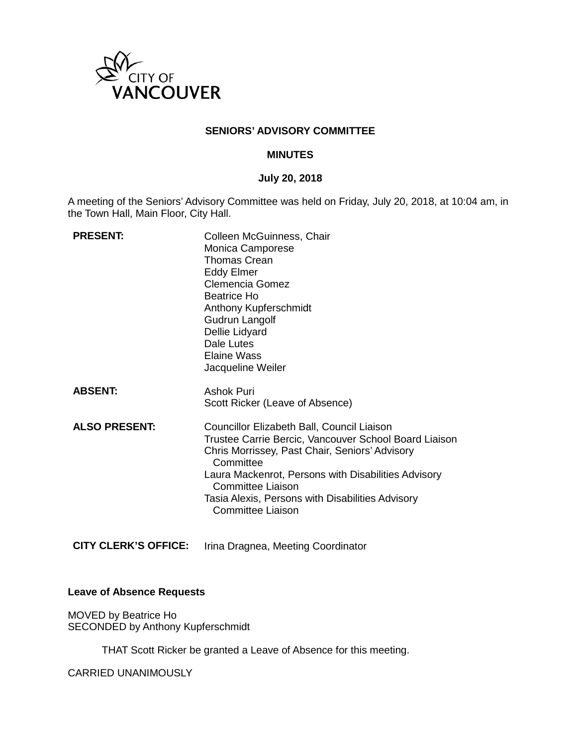

### **SENIORS' ADVISORY COMMITTEE**

### **MINUTES**

### **July 20, 2018**

A meeting of the Seniors' Advisory Committee was held on Friday, July 20, 2018, at 10:04 am, in the Town Hall, Main Floor, City Hall.

| <b>PRESENT:</b>      | Colleen McGuinness, Chair<br>Monica Camporese<br><b>Thomas Crean</b><br><b>Eddy Elmer</b><br><b>Clemencia Gomez</b><br>Beatrice Ho<br>Anthony Kupferschmidt<br>Gudrun Langolf<br>Dellie Lidyard<br>Dale Lutes<br>Elaine Wass<br>Jacqueline Weiler                                                                              |
|----------------------|--------------------------------------------------------------------------------------------------------------------------------------------------------------------------------------------------------------------------------------------------------------------------------------------------------------------------------|
| <b>ABSENT:</b>       | Ashok Puri<br>Scott Ricker (Leave of Absence)                                                                                                                                                                                                                                                                                  |
| <b>ALSO PRESENT:</b> | Councillor Elizabeth Ball, Council Liaison<br>Trustee Carrie Bercic, Vancouver School Board Liaison<br>Chris Morrissey, Past Chair, Seniors' Advisory<br>Committee<br>Laura Mackenrot, Persons with Disabilities Advisory<br><b>Committee Liaison</b><br>Tasia Alexis, Persons with Disabilities Advisory<br>Committee Liaison |

**CITY CLERK'S OFFICE:** Irina Dragnea, Meeting Coordinator

### **Leave of Absence Requests**

MOVED by Beatrice Ho SECONDED by Anthony Kupferschmidt

THAT Scott Ricker be granted a Leave of Absence for this meeting.

CARRIED UNANIMOUSLY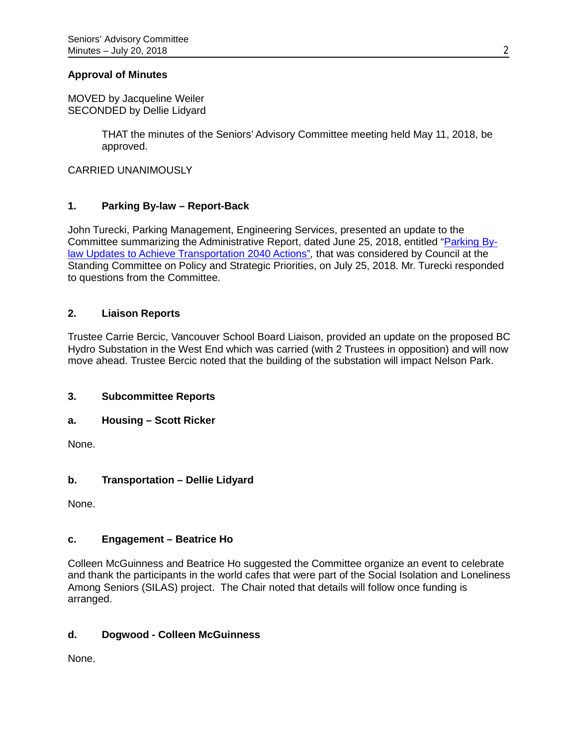### **Approval of Minutes**

MOVED by Jacqueline Weiler SECONDED by Dellie Lidyard

> THAT the minutes of the Seniors' Advisory Committee meeting held May 11, 2018, be approved.

CARRIED UNANIMOUSLY

# **1. Parking By-law – Report-Back**

John Turecki, Parking Management, Engineering Services, presented an update to the Committee summarizing the Administrative Report, dated June 25, 2018, entitled ["Parking By](https://council.vancouver.ca/20180724/documents/p10.pdf)[law Updates to Achieve Transportation 2040 Actions"](https://council.vancouver.ca/20180724/documents/p10.pdf)*,* that was considered by Council at the Standing Committee on Policy and Strategic Priorities, on July 25, 2018. Mr. Turecki responded to questions from the Committee.

# **2. Liaison Reports**

Trustee Carrie Bercic, Vancouver School Board Liaison, provided an update on the proposed BC Hydro Substation in the West End which was carried (with 2 Trustees in opposition) and will now move ahead. Trustee Bercic noted that the building of the substation will impact Nelson Park.

### **3. Subcommittee Reports**

### **a. Housing – Scott Ricker**

None.

# **b. Transportation – Dellie Lidyard**

None.

# **c. Engagement – Beatrice Ho**

Colleen McGuinness and Beatrice Ho suggested the Committee organize an event to celebrate and thank the participants in the world cafes that were part of the Social Isolation and Loneliness Among Seniors (SILAS) project. The Chair noted that details will follow once funding is arranged.

# **d. Dogwood - Colleen McGuinness**

None.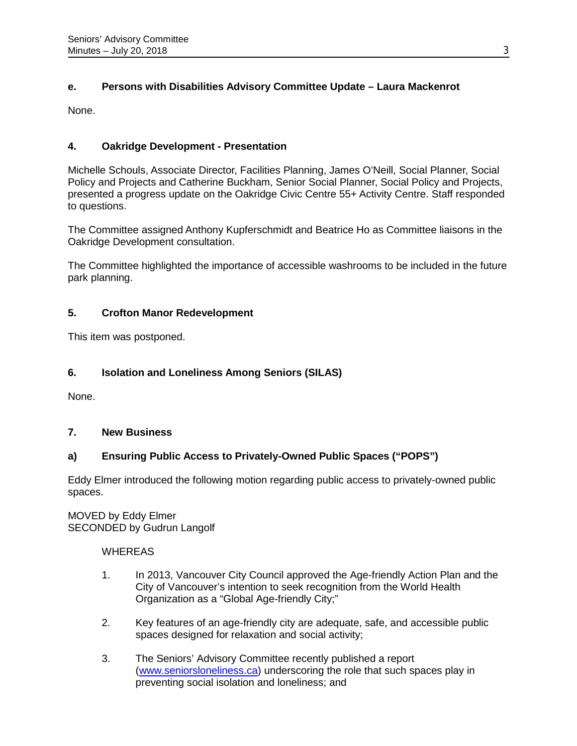# **e. Persons with Disabilities Advisory Committee Update – Laura Mackenrot**

None.

# **4. Oakridge Development - Presentation**

Michelle Schouls, Associate Director, Facilities Planning, James O'Neill, Social Planner, Social Policy and Projects and Catherine Buckham, Senior Social Planner, Social Policy and Projects, presented a progress update on the Oakridge Civic Centre 55+ Activity Centre. Staff responded to questions.

The Committee assigned Anthony Kupferschmidt and Beatrice Ho as Committee liaisons in the Oakridge Development consultation.

The Committee highlighted the importance of accessible washrooms to be included in the future park planning.

# **5. Crofton Manor Redevelopment**

This item was postponed.

# **6. Isolation and Loneliness Among Seniors (SILAS)**

None.

# **7. New Business**

# **a) Ensuring Public Access to Privately-Owned Public Spaces ("POPS")**

Eddy Elmer introduced the following motion regarding public access to privately-owned public spaces.

MOVED by Eddy Elmer SECONDED by Gudrun Langolf

### **WHEREAS**

- 1. In 2013, Vancouver City Council approved the Age-friendly Action Plan and the City of Vancouver's intention to seek recognition from the World Health Organization as a "Global Age-friendly City;"
- 2. Key features of an age-friendly city are adequate, safe, and accessible public spaces designed for relaxation and social activity;
- 3. The Seniors' Advisory Committee recently published a report [\(www.seniorsloneliness.ca\)](http://www.seniorsloneliness.ca/) underscoring the role that such spaces play in preventing social isolation and loneliness; and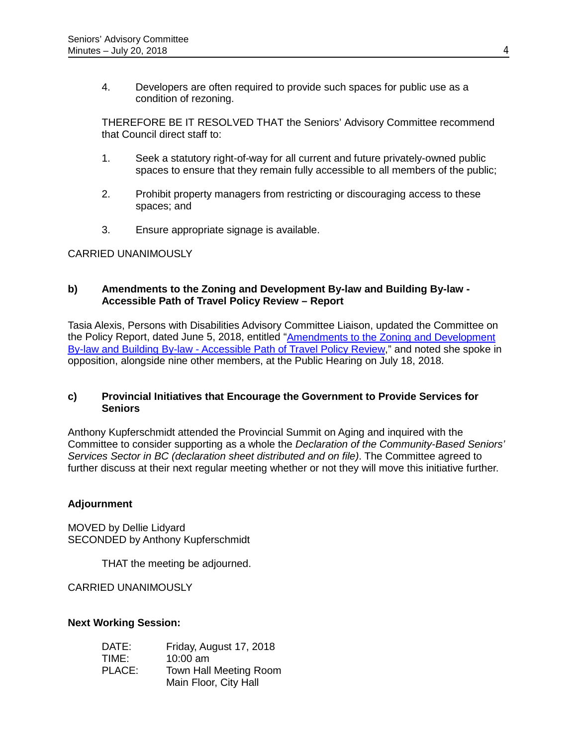4. Developers are often required to provide such spaces for public use as a condition of rezoning.

THEREFORE BE IT RESOLVED THAT the Seniors' Advisory Committee recommend that Council direct staff to:

- 1. Seek a statutory right-of-way for all current and future privately-owned public spaces to ensure that they remain fully accessible to all members of the public;
- 2. Prohibit property managers from restricting or discouraging access to these spaces; and
- 3. Ensure appropriate signage is available.

### CARRIED UNANIMOUSLY

### **b) Amendments to the Zoning and Development By-law and Building By-law - Accessible Path of Travel Policy Review – Report**

Tasia Alexis, Persons with Disabilities Advisory Committee Liaison, updated the Committee on the Policy Report, dated June 5, 2018, entitled "Amendments to the Zoning and Development [By-law and Building By-law - Accessible Path of Travel Policy Review,](https://council.vancouver.ca/20180619/documents/p11.pdf)" and noted she spoke in opposition, alongside nine other members, at the Public Hearing on July 18, 2018.

### **c) Provincial Initiatives that Encourage the Government to Provide Services for Seniors**

Anthony Kupferschmidt attended the Provincial Summit on Aging and inquired with the Committee to consider supporting as a whole the *Declaration of the Community-Based Seniors' Services Sector in BC (declaration sheet distributed and on file)*. The Committee agreed to further discuss at their next regular meeting whether or not they will move this initiative further.

# **Adjournment**

MOVED by Dellie Lidyard SECONDED by Anthony Kupferschmidt

THAT the meeting be adjourned.

CARRIED UNANIMOUSLY

### **Next Working Session:**

| DATE:  | Friday, August 17, 2018 |
|--------|-------------------------|
| TIME:  | $10:00$ am              |
| PLACE: | Town Hall Meeting Room  |
|        | Main Floor, City Hall   |